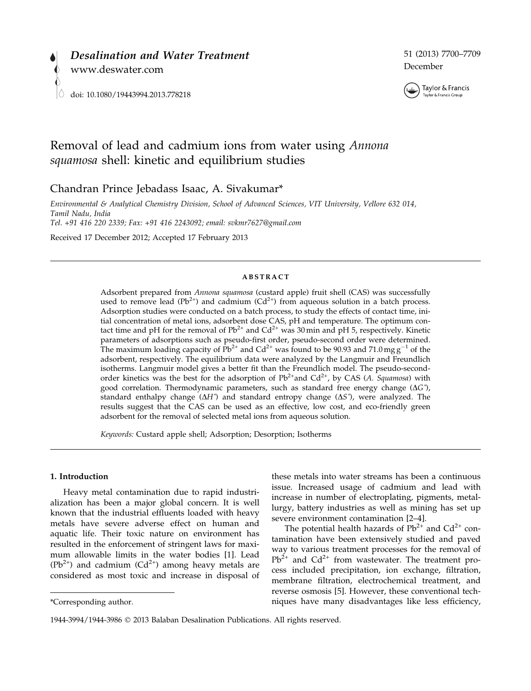

51 (2013) 7700–7709 December



# Removal of lead and cadmium ions from water using Annona squamosa shell: kinetic and equilibrium studies

Chandran Prince Jebadass Isaac, A. Sivakumar\*

Environmental & Analytical Chemistry Division, School of Advanced Sciences, VIT University, Vellore 632 014, Tamil Nadu, India Tel. +91 416 220 2339; Fax: +91 416 2243092; email: svkmr7627@gmail.com

Received 17 December 2012; Accepted 17 February 2013

#### ABSTRACT

Adsorbent prepared from Annona squamosa (custard apple) fruit shell (CAS) was successfully used to remove lead ( $Pb^{2+}$ ) and cadmium (Cd<sup>2+</sup>) from aqueous solution in a batch process. Adsorption studies were conducted on a batch process, to study the effects of contact time, initial concentration of metal ions, adsorbent dose CAS, pH and temperature. The optimum contact time and pH for the removal of  $Pb^{2+}$  and  $Cd^{2+}$  was 30 min and pH 5, respectively. Kinetic parameters of adsorptions such as pseudo-first order, pseudo-second order were determined. The maximum loading capacity of  $Pb^{2+}$  and  $Cd^{2+}$  was found to be 90.93 and 71.0 mg  $g^{-1}$  of the adsorbent, respectively. The equilibrium data were analyzed by the Langmuir and Freundlich isotherms. Langmuir model gives a better fit than the Freundlich model. The pseudo-secondorder kinetics was the best for the adsorption of  $Pb^{2+}$ and Cd<sup>2+</sup>, by CAS (A. Squamosa) with good correlation. Thermodynamic parameters, such as standard free energy change  $(\Delta G^{\circ})$ , standard enthalpy change  $(\Delta H^{\circ})$  and standard entropy change  $(\Delta S^{\circ})$ , were analyzed. The results suggest that the CAS can be used as an effective, low cost, and eco-friendly green adsorbent for the removal of selected metal ions from aqueous solution.

Keywords: Custard apple shell; Adsorption; Desorption; Isotherms

#### 1. Introduction

Heavy metal contamination due to rapid industrialization has been a major global concern. It is well known that the industrial effluents loaded with heavy metals have severe adverse effect on human and aquatic life. Their toxic nature on environment has resulted in the enforcement of stringent laws for maximum allowable limits in the water bodies [1]. Lead  $(Pb^{2+})$  and cadmium  $(Cd^{2+})$  among heavy metals are considered as most toxic and increase in disposal of

these metals into water streams has been a continuous issue. Increased usage of cadmium and lead with increase in number of electroplating, pigments, metallurgy, battery industries as well as mining has set up severe environment contamination [2–4].

The potential health hazards of  $Pb^{2+}$  and  $Cd^{2+}$  contamination have been extensively studied and paved way to various treatment processes for the removal of  $Pb^{2+}$  and  $Cd^{2+}$  from wastewater. The treatment process included precipitation, ion exchange, filtration, membrane filtration, electrochemical treatment, and reverse osmosis [5]. However, these conventional tech- \*Corresponding author. niques have many disadvantages like less efficiency,

<sup>1944-3994/1944-3986</sup> 2013 Balaban Desalination Publications. All rights reserved.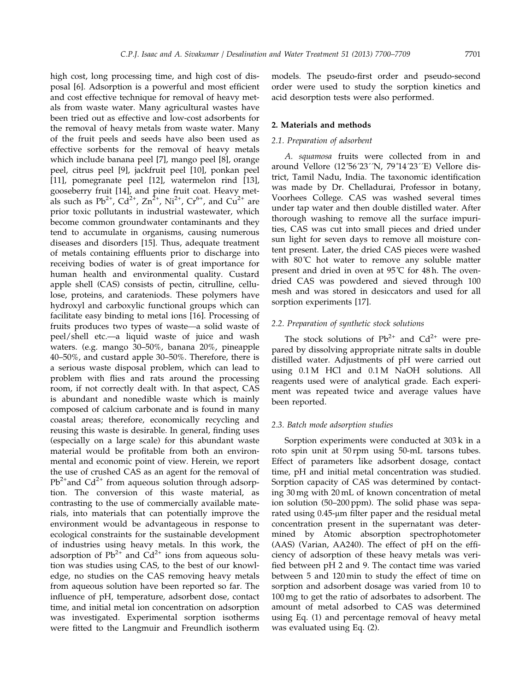high cost, long processing time, and high cost of disposal [6]. Adsorption is a powerful and most efficient and cost effective technique for removal of heavy metals from waste water. Many agricultural wastes have been tried out as effective and low-cost adsorbents for the removal of heavy metals from waste water. Many of the fruit peels and seeds have also been used as effective sorbents for the removal of heavy metals which include banana peel [7], mango peel [8], orange peel, citrus peel [9], jackfruit peel [10], ponkan peel [11], pomegranate peel [12], watermelon rind [13], gooseberry fruit [14], and pine fruit coat. Heavy metals such as Pb<sup>2+</sup>, Cd<sup>2+</sup>, Zn<sup>2+</sup>, Ni<sup>2+</sup>, Cr<sup>6+</sup>, and Cu<sup>2+</sup> are prior toxic pollutants in industrial wastewater, which become common groundwater contaminants and they tend to accumulate in organisms, causing numerous diseases and disorders [15]. Thus, adequate treatment of metals containing effluents prior to discharge into receiving bodies of water is of great importance for human health and environmental quality. Custard apple shell (CAS) consists of pectin, citrulline, cellulose, proteins, and carateniods. These polymers have hydroxyl and carboxylic functional groups which can facilitate easy binding to metal ions [16]. Processing of fruits produces two types of waste—a solid waste of peel/shell etc.––a liquid waste of juice and wash waters. (e.g. mango 30–50%, banana 20%, pineapple 40–50%, and custard apple 30–50%. Therefore, there is a serious waste disposal problem, which can lead to problem with flies and rats around the processing room, if not correctly dealt with. In that aspect, CAS is abundant and nonedible waste which is mainly composed of calcium carbonate and is found in many coastal areas; therefore, economically recycling and reusing this waste is desirable. In general, finding uses (especially on a large scale) for this abundant waste material would be profitable from both an environmental and economic point of view. Herein, we report the use of crushed CAS as an agent for the removal of  $Pb^{2+}$ and Cd<sup>2+</sup> from aqueous solution through adsorption. The conversion of this waste material, as contrasting to the use of commercially available materials, into materials that can potentially improve the environment would be advantageous in response to ecological constraints for the sustainable development of industries using heavy metals. In this work, the adsorption of  $Pb^{2+}$  and  $Cd^{2+}$  ions from aqueous solution was studies using CAS, to the best of our knowledge, no studies on the CAS removing heavy metals from aqueous solution have been reported so far. The influence of pH, temperature, adsorbent dose, contact time, and initial metal ion concentration on adsorption was investigated. Experimental sorption isotherms were fitted to the Langmuir and Freundlich isotherm models. The pseudo-first order and pseudo-second order were used to study the sorption kinetics and acid desorption tests were also performed.

## 2. Materials and methods

## 2.1. Preparation of adsorbent

A. squamosa fruits were collected from in and around Vellore (12˚56´23´´N, 79˚14´23´´E) Vellore district, Tamil Nadu, India. The taxonomic identification was made by Dr. Chelladurai, Professor in botany, Voorhees College. CAS was washed several times under tap water and then double distilled water. After thorough washing to remove all the surface impurities, CAS was cut into small pieces and dried under sun light for seven days to remove all moisture content present. Later, the dried CAS pieces were washed with 80°C hot water to remove any soluble matter present and dried in oven at 95˚C for 48 h. The ovendried CAS was powdered and sieved through 100 mesh and was stored in desiccators and used for all sorption experiments [17].

## 2.2. Preparation of synthetic stock solutions

The stock solutions of  $Pb^{2+}$  and  $Cd^{2+}$  were prepared by dissolving appropriate nitrate salts in double distilled water. Adjustments of pH were carried out using 0.1 M HCl and 0.1 M NaOH solutions. All reagents used were of analytical grade. Each experiment was repeated twice and average values have been reported.

#### 2.3. Batch mode adsorption studies

Sorption experiments were conducted at 303 k in a roto spin unit at 50 rpm using 50-mL tarsons tubes. Effect of parameters like adsorbent dosage, contact time, pH and initial metal concentration was studied. Sorption capacity of CAS was determined by contacting 30 mg with 20 mL of known concentration of metal ion solution (50–200 ppm). The solid phase was separated using  $0.45$ -µm filter paper and the residual metal concentration present in the supernatant was determined by Atomic absorption spectrophotometer (AAS) (Varian, AA240). The effect of pH on the efficiency of adsorption of these heavy metals was verified between pH 2 and 9. The contact time was varied between 5 and 120 min to study the effect of time on sorption and adsorbent dosage was varied from 10 to 100 mg to get the ratio of adsorbates to adsorbent. The amount of metal adsorbed to CAS was determined using Eq. (1) and percentage removal of heavy metal was evaluated using Eq. (2).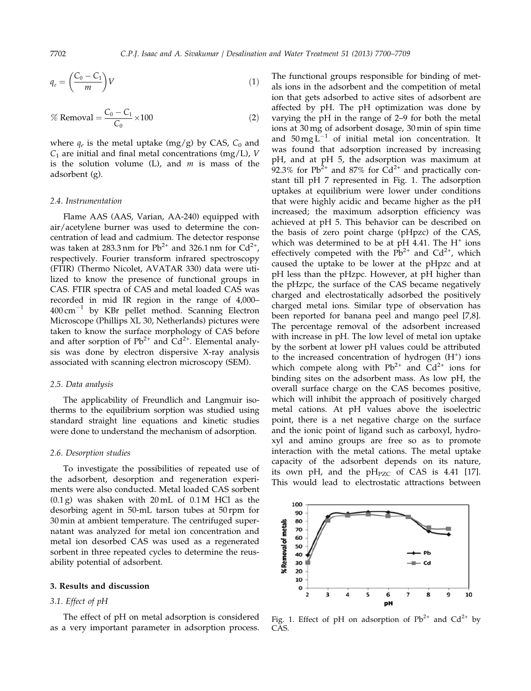$$
q_e = \left(\frac{C_0 - C_1}{m}\right)V\tag{1}
$$

% Removal 
$$
=\frac{C_0 - C_1}{C_0} \times 100
$$
 (2)

where  $q_e$  is the metal uptake (mg/g) by CAS,  $C_0$  and  $C_1$  are initial and final metal concentrations (mg/L), V is the solution volume  $(L)$ , and  $m$  is mass of the adsorbent (g).

#### 2.4. Instrumentation

Flame AAS (AAS, Varian, AA-240) equipped with air/acetylene burner was used to determine the concentration of lead and cadmium. The detector response was taken at 283.3 nm for  $Pb^{2+}$  and 326.1 nm for  $Cd^{2+}$ , respectively. Fourier transform infrared spectroscopy (FTIR) (Thermo Nicolet, AVATAR 330) data were utilized to know the presence of functional groups in CAS. FTIR spectra of CAS and metal loaded CAS was recorded in mid IR region in the range of 4,000–  $400 \text{ cm}^{-1}$  by KBr pellet method. Scanning Electron Microscope (Phillips XL 30, Netherlands) pictures were taken to know the surface morphology of CAS before and after sorption of  $Pb^{2+}$  and  $Cd^{2+}$ . Elemental analysis was done by electron dispersive X-ray analysis associated with scanning electron microscopy (SEM).

#### 2.5. Data analysis

The applicability of Freundlich and Langmuir isotherms to the equilibrium sorption was studied using standard straight line equations and kinetic studies were done to understand the mechanism of adsorption.

#### 2.6. Desorption studies

To investigate the possibilities of repeated use of the adsorbent, desorption and regeneration experiments were also conducted. Metal loaded CAS sorbent  $(0.1 g)$  was shaken with 20 mL of 0.1 M HCl as the desorbing agent in 50-mL tarson tubes at 50 rpm for 30 min at ambient temperature. The centrifuged supernatant was analyzed for metal ion concentration and metal ion desorbed CAS was used as a regenerated sorbent in three repeated cycles to determine the reusability potential of adsorbent.

#### 3. Results and discussion

# 3.1. Effect of pH

The effect of pH on metal adsorption is considered as a very important parameter in adsorption process. The functional groups responsible for binding of metals ions in the adsorbent and the competition of metal ion that gets adsorbed to active sites of adsorbent are affected by pH. The pH optimization was done by varying the pH in the range of 2–9 for both the metal ions at 30 mg of adsorbent dosage, 30 min of spin time and  $50 \text{ mg L}^{-1}$  of initial metal ion concentration. It was found that adsorption increased by increasing pH, and at pH 5, the adsorption was maximum at 92.3% for  $Pb^{2+}$  and 87% for  $Cd^{2+}$  and practically constant till pH 7 represented in Fig. 1. The adsorption uptakes at equilibrium were lower under conditions that were highly acidic and became higher as the pH increased; the maximum adsorption efficiency was achieved at pH 5. This behavior can be described on the basis of zero point charge (pHpzc) of the CAS, which was determined to be at pH 4.41. The  $H^+$  ions effectively competed with the  $Pb^{2+}$  and  $Cd^{2+}$ , which caused the uptake to be lower at the pHpzc and at pH less than the pHzpc. However, at pH higher than the pHzpc, the surface of the CAS became negatively charged and electrostatically adsorbed the positively charged metal ions. Similar type of observation has been reported for banana peel and mango peel [7,8]. The percentage removal of the adsorbent increased with increase in pH. The low level of metal ion uptake by the sorbent at lower pH values could be attributed to the increased concentration of hydrogen (H<sup>+</sup>) ions which compete along with  $Pb^{2+}$  and  $Cd^{2+}$  ions for binding sites on the adsorbent mass. As low pH, the overall surface charge on the CAS becomes positive, which will inhibit the approach of positively charged metal cations. At pH values above the isoelectric point, there is a net negative charge on the surface and the ionic point of ligand such as carboxyl, hydroxyl and amino groups are free so as to promote interaction with the metal cations. The metal uptake capacity of the adsorbent depends on its nature, its own pH, and the  $pH_{PZC}$  of CAS is 4.41 [17]. This would lead to electrostatic attractions between



Fig. 1. Effect of pH on adsorption of  $Pb^{2+}$  and  $Cd^{2+}$  by CAS.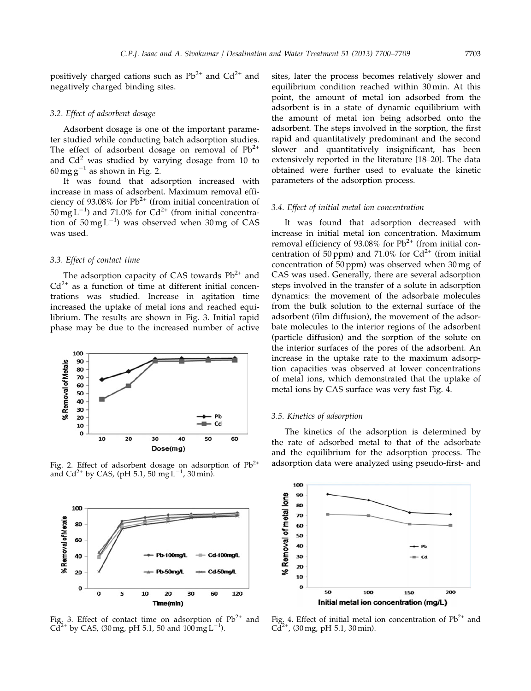positively charged cations such as  $Pb^{2+}$  and  $Cd^{2+}$  and negatively charged binding sites.

#### 3.2. Effect of adsorbent dosage

Adsorbent dosage is one of the important parameter studied while conducting batch adsorption studies. The effect of adsorbent dosage on removal of  $Pb^{2+}$ and  $Cd<sup>2</sup>$  was studied by varying dosage from 10 to  $60 \text{ mg g}^{-1}$  as shown in Fig. 2.

It was found that adsorption increased with increase in mass of adsorbent. Maximum removal efficiency of 93.08% for  $Pb^{2+}$  (from initial concentration of  $50 \,\mathrm{mg} \, \mathrm{L}^{-1}$ ) and 71.0% for Cd<sup>2+</sup> (from initial concentration of  $50 \text{ mg L}^{-1}$ ) was observed when  $30 \text{ mg}$  of CAS was used.

## 3.3. Effect of contact time

The adsorption capacity of CAS towards  $Pb^{2+}$  and  $Cd^{2+}$  as a function of time at different initial concentrations was studied. Increase in agitation time increased the uptake of metal ions and reached equilibrium. The results are shown in Fig. 3. Initial rapid phase may be due to the increased number of active



and Cd<sup>2+</sup> by CAS, (pH 5.1, 50 mgL<sup>-1</sup>, 30 min).



Fig. 3. Effect of contact time on adsorption of  $Pb^{2+}$  and  $Cd^{2+}$  by CAS, (30 mg, pH 5.1, 50 and 100 mg L<sup>-1</sup>).

sites, later the process becomes relatively slower and equilibrium condition reached within 30 min. At this point, the amount of metal ion adsorbed from the adsorbent is in a state of dynamic equilibrium with the amount of metal ion being adsorbed onto the adsorbent. The steps involved in the sorption, the first rapid and quantitatively predominant and the second slower and quantitatively insignificant, has been extensively reported in the literature [18–20]. The data obtained were further used to evaluate the kinetic parameters of the adsorption process.

#### 3.4. Effect of initial metal ion concentration

It was found that adsorption decreased with increase in initial metal ion concentration. Maximum removal efficiency of 93.08% for  $Pb^{2+}$  (from initial concentration of 50 ppm) and 71.0% for  $Cd^{2+}$  (from initial concentration of 50 ppm) was observed when 30 mg of CAS was used. Generally, there are several adsorption steps involved in the transfer of a solute in adsorption dynamics: the movement of the adsorbate molecules from the bulk solution to the external surface of the adsorbent (film diffusion), the movement of the adsorbate molecules to the interior regions of the adsorbent (particle diffusion) and the sorption of the solute on the interior surfaces of the pores of the adsorbent. An increase in the uptake rate to the maximum adsorption capacities was observed at lower concentrations of metal ions, which demonstrated that the uptake of metal ions by CAS surface was very fast Fig. 4.

#### 3.5. Kinetics of adsorption

The kinetics of the adsorption is determined by the rate of adsorbed metal to that of the adsorbate and the equilibrium for the adsorption process. The Fig. 2. Effect of adsorbent dosage on adsorption of Pb<sup>2+</sup> adsorption data were analyzed using pseudo-first- and



Fig. 4. Effect of initial metal ion concentration of  $Pb^{2+}$  and  $Cd^{2+}$ , (30 mg, pH 5.1, 30 min).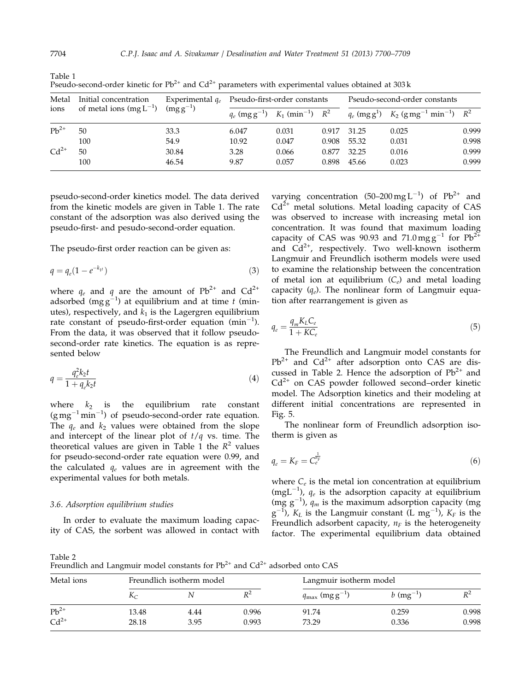| Metal     | Initial concentration       | Experimental $q_e$ | Pseudo-first-order constants |                                  |       | Pseudo-second-order constants |                                                                                                           |       |
|-----------|-----------------------------|--------------------|------------------------------|----------------------------------|-------|-------------------------------|-----------------------------------------------------------------------------------------------------------|-------|
| ions      | of metal ions $(mg L^{-1})$ | $(mg g^{-1})$      | $q_e$ (mg g <sup>-1</sup> )  | $K_1$ (min <sup>-1</sup> ) $R^2$ |       |                               | $q_e$ (mg g <sup>1</sup> ) $K_2$ (g mg <sup>-1</sup> min <sup>-1</sup> ) $R^2$<br>0.025<br>0.031<br>0.016 |       |
| $Pb^{2+}$ | 50                          | 33.3               | 6.047                        | 0.031                            | 0.917 | 31.25                         |                                                                                                           | 0.999 |
|           | 100                         | 54.9               | 10.92                        | 0.047                            | 0.908 | 55.32                         |                                                                                                           | 0.998 |
| $Cd2+$    | 50                          | 30.84              | 3.28                         | 0.066                            | 0.877 | 32.25                         |                                                                                                           | 0.999 |
|           | 100                         | 46.54              | 9.87                         | 0.057                            | 0.898 | 45.66                         | 0.023                                                                                                     | 0.999 |

Table 1 Pseudo-second-order kinetic for  $Pb^{2+}$  and  $Cd^{2+}$  parameters with experimental values obtained at 303 k

pseudo-second-order kinetics model. The data derived from the kinetic models are given in Table 1. The rate constant of the adsorption was also derived using the pseudo-first- and pesudo-second-order equation.

The pseudo-first order reaction can be given as:

$$
q = q_e (1 - e^{-k_1 t})
$$
\n(3)

where  $q_e$  and q are the amount of Pb<sup>2+</sup> and Cd<sup>2+</sup> adsorbed (mgg $^{-1}$ ) at equilibrium and at time t (minutes), respectively, and  $k_1$  is the Lagergren equilibrium rate constant of pseudo-first-order equation  $(min^{-1})$ . From the data, it was observed that it follow pseudosecond-order rate kinetics. The equation is as represented below

$$
q = \frac{q_e^2 k_2 t}{1 + q_e k_2 t} \tag{4}
$$

where  $k_2$  is the equilibrium rate constant  $(g\,mg^{-1}\,min^{-1})$  of pseudo-second-order rate equation. The  $q_e$  and  $k_2$  values were obtained from the slope and intercept of the linear plot of  $t/q$  vs. time. The theoretical values are given in Table 1 the  $R^2$  values for pseudo-second-order rate equation were 0.99, and the calculated  $q_e$  values are in agreement with the experimental values for both metals.

## 3.6. Adsorption equilibrium studies

In order to evaluate the maximum loading capacity of CAS, the sorbent was allowed in contact with

varying concentration  $(50-200 \,\mathrm{mg}\, \mathrm{L}^{-1})$  of  $\mathrm{Pb}^{2+}$  and  $Cd^{2+}$  metal solutions. Metal loading capacity of CAS was observed to increase with increasing metal ion concentration. It was found that maximum loading capacity of CAS was 90.93 and  $71.0$  mg g<sup>-1</sup> for Pb<sup>2+</sup> and  $Cd^{2+}$ , respectively. Two well-known isotherm Langmuir and Freundlich isotherm models were used to examine the relationship between the concentration of metal ion at equilibrium  $(C_e)$  and metal loading capacity  $(q_e)$ . The nonlinear form of Langmuir equation after rearrangement is given as

$$
q_e = \frac{q_m K_L C_e}{1 + K C_e} \tag{5}
$$

The Freundlich and Langmuir model constants for  $Pb^{2+}$  and  $Cd^{2+}$  after adsorption onto CAS are discussed in Table 2. Hence the adsorption of  $Pb^{2+}$  and  $Cd<sup>2+</sup>$  on CAS powder followed second–order kinetic model. The Adsorption kinetics and their modeling at different initial concentrations are represented in Fig. 5.

The nonlinear form of Freundlich adsorption isotherm is given as

$$
q_e = K_F = C_e^{\frac{1}{n_F}} \tag{6}
$$

where  $C_e$  is the metal ion concentration at equilibrium (mgL<sup>-1</sup>),  $q_e$  is the adsorption capacity at equilibrium (mg  $g^{-1}$ ),  $q_m$  is the maximum adsorption capacity (mg  $g^{-1}$ ),  $K_L$  is the Langmuir constant (L mg<sup>-1</sup>),  $K_F$  is the Freundlich adsorbent capacity,  $n_F$  is the heterogeneity factor. The experimental equilibrium data obtained

Table 2

Freundlich and Langmuir model constants for  $Pb^{2+}$  and  $Cd^{2+}$  adsorbed onto CAS

| Metal ions | Freundlich isotherm model |      |       | Langmuir isotherm model                |                         |       |  |
|------------|---------------------------|------|-------|----------------------------------------|-------------------------|-------|--|
|            | $K_C$                     |      |       | $q_{\text{max}}$ (mg g <sup>-1</sup> ) | $b \, (\text{mg}^{-1})$ |       |  |
| $Pb^{2+}$  | 13.48                     | 4.44 | 0.996 | 91.74                                  | 0.259                   | 0.998 |  |
| $Cd2+$     | 28.18                     | 3.95 | 0.993 | 73.29                                  | 0.336                   | 0.998 |  |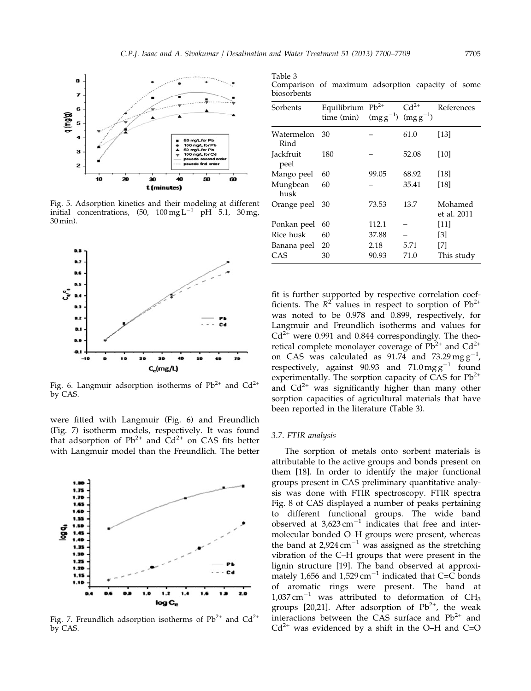

Fig. 5. Adsorption kinetics and their modeling at different initial concentrations,  $(50, 100 \,\text{mg L}^{-1} \text{ pH } 5.1, 30 \,\text{mg})$ 30 min).



Fig. 6. Langmuir adsorption isotherms of  $Pb^{2+}$  and  $Cd^{2+}$ by CAS.

were fitted with Langmuir (Fig. 6) and Freundlich (Fig. 7) isotherm models, respectively. It was found that adsorption of  $Pb^{2+}$  and  $Cd^{2+}$  on CAS fits better with Langmuir model than the Freundlich. The better



Fig. 7. Freundlich adsorption isotherms of  $Pb^{2+}$  and  $Cd^{2+}$ by CAS.

Table 3 Comparison of maximum adsorption capacity of some biosorbents

| Sorbents           | Equilibrium $Pb^{2+}$<br>time (min) | $(mgg^{-1})$ $(mgg^{-1})$ | $Cd^{2+}$ | References             |  |  |
|--------------------|-------------------------------------|---------------------------|-----------|------------------------|--|--|
| Watermelon<br>Rind | 30                                  |                           | 61.0      | [13]                   |  |  |
| Jackfruit<br>peel  | 180                                 |                           | 52.08     | [10]                   |  |  |
| Mango peel         | 60                                  | 99.05                     | 68.92     | [18]                   |  |  |
| Mungbean<br>husk   | 60                                  |                           | 35.41     | [18]                   |  |  |
| Orange peel        | 30                                  | 73.53                     | 13.7      | Mohamed<br>et al. 2011 |  |  |
| Ponkan peel        | 60                                  | 112.1                     |           | [11]                   |  |  |
| Rice husk          | 60                                  | 37.88                     |           | [3]                    |  |  |
| Banana peel        | 20                                  | 2.18                      | 5.71      | [7]                    |  |  |
| CAS                | 30                                  | 90.93                     | 71.0      | This study             |  |  |

fit is further supported by respective correlation coefficients. The  $R^2$  values in respect to sorption of  $Pb^{2+}$ was noted to be 0.978 and 0.899, respectively, for Langmuir and Freundlich isotherms and values for  $Cd^{2+}$  were 0.991 and 0.844 correspondingly. The theoretical complete monolayer coverage of  $Pb^{2+}$  and  $Cd^{2+}$ on CAS was calculated as  $91.74$  and  $73.29$  mg  $g^{-1}$ , respectively, against 90.93 and  $71.0 \text{ mg g}^{-1}$  found experimentally. The sorption capacity of CAS for  $Pb^{2+}$ and  $Cd^{2+}$  was significantly higher than many other sorption capacities of agricultural materials that have been reported in the literature (Table 3).

## 3.7. FTIR analysis

The sorption of metals onto sorbent materials is attributable to the active groups and bonds present on them [18]. In order to identify the major functional groups present in CAS preliminary quantitative analysis was done with FTIR spectroscopy. FTIR spectra Fig. 8 of CAS displayed a number of peaks pertaining to different functional groups. The wide band observed at  $3{,}623 \text{ cm}^{-1}$  indicates that free and intermolecular bonded O–H groups were present, whereas the band at  $2.924 \text{ cm}^{-1}$  was assigned as the stretching vibration of the C–H groups that were present in the lignin structure [19]. The band observed at approximately 1,656 and 1,529 cm<sup>-1</sup> indicated that C=C bonds of aromatic rings were present. The band at 1,037 cm<sup>-1</sup> was attributed to deformation of CH<sub>3</sub> groups [20,21]. After adsorption of  $Pb^{2+}$ , the weak interactions between the CAS surface and  $Pb^{2+}$  and  $Cd^{2+}$  was evidenced by a shift in the O–H and C=O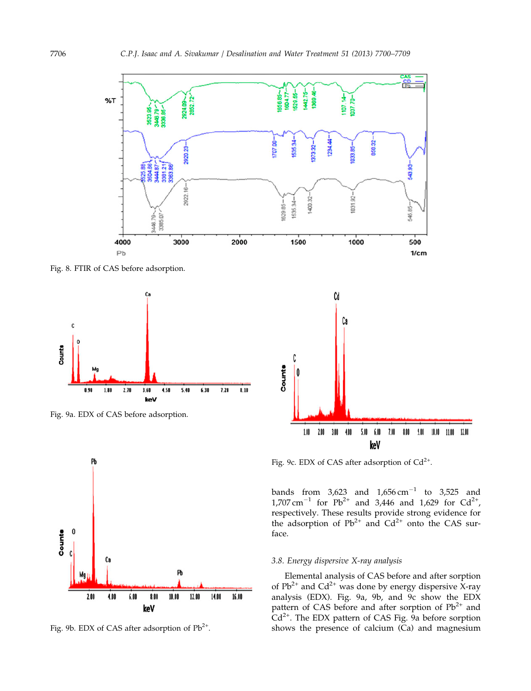

Fig. 8. FTIR of CAS before adsorption.



Fig. 9a. EDX of CAS before adsorption.



Fig. 9b. EDX of CAS after adsorption of Pb<sup>2+</sup>.



Fig. 9c. EDX of CAS after adsorption of  $Cd^{2+}$ .

bands from  $3,623$  and  $1,656 \text{ cm}^{-1}$  to  $3,525$  and  $1,707 \text{ cm}^{-1}$  for Pb<sup>2+</sup> and 3,446 and 1,629 for Cd<sup>2+</sup>, respectively. These results provide strong evidence for the adsorption of  $Pb^{2+}$  and  $Cd^{2+}$  onto the CAS surface.

# 3.8. Energy dispersive X-ray analysis

Elemental analysis of CAS before and after sorption of  $Pb^{2+}$  and  $Cd^{2+}$  was done by energy dispersive X-ray analysis (EDX). Fig. 9a, 9b, and 9c show the EDX pattern of CAS before and after sorption of  $Pb^{2+}$  and  $Cd^{2+}$ . The EDX pattern of CAS Fig.  $9a$  before sorption shows the presence of calcium (Ca) and magnesium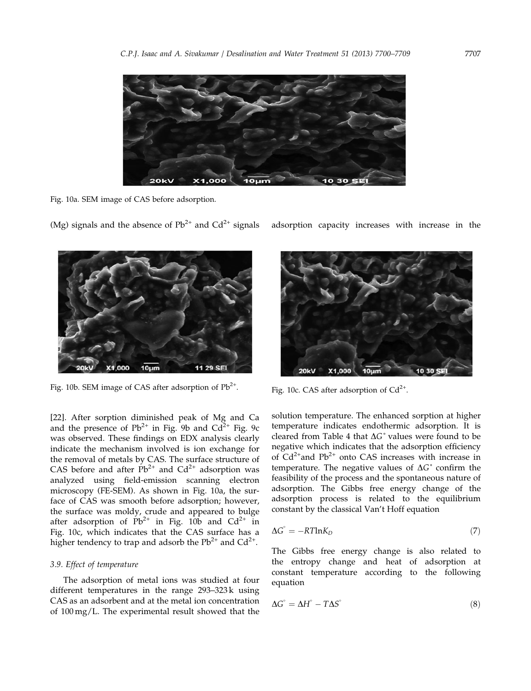

Fig. 10a. SEM image of CAS before adsorption.

(Mg) signals and the absence of  $Pb^{2+}$  and  $Cd^{2+}$  signals adsorption capacity increases with increase in the



Fig. 10b. SEM image of CAS after adsorption of  $Pb^{2+}$ . Fig. 10c. CAS after adsorption of Cd<sup>2+</sup>.

[22]. After sorption diminished peak of Mg and Ca and the presence of  $Pb^{2+}$  in Fig. 9b and  $Cd^{2+}$  Fig. 9c was observed. These findings on EDX analysis clearly indicate the mechanism involved is ion exchange for the removal of metals by CAS. The surface structure of CAS before and after  $Pb^{2+}$  and  $Cd^{2+}$  adsorption was analyzed using field-emission scanning electron microscopy (FE-SEM). As shown in Fig. 10a, the surface of CAS was smooth before adsorption; however, the surface was moldy, crude and appeared to bulge after adsorption of  $\overrightarrow{Pb}^{2+}$  in Fig. 10b and Cd<sup>2+</sup> in Fig. 10c, which indicates that the CAS surface has a higher tendency to trap and adsorb the  $Pb^{2+}$  and  $Cd^{2+}$ .

## 3.9. Effect of temperature

The adsorption of metal ions was studied at four different temperatures in the range 293–323 k using CAS as an adsorbent and at the metal ion concentration of 100 mg/L. The experimental result showed that the



solution temperature. The enhanced sorption at higher temperature indicates endothermic adsorption. It is cleared from Table 4 that  $\Delta G$ ° values were found to be negative which indicates that the adsorption efficiency of  $Cd^{2+}$ and  $Pb^{2+}$  onto CAS increases with increase in temperature. The negative values of  $\Delta G^{\circ}$  confirm the feasibility of the process and the spontaneous nature of adsorption. The Gibbs free energy change of the adsorption process is related to the equilibrium constant by the classical Van't Hoff equation

$$
\Delta G^{\circ} = -RT \ln K_D \tag{7}
$$

The Gibbs free energy change is also related to the entropy change and heat of adsorption at constant temperature according to the following equation

$$
\Delta G^{\circ} = \Delta H^{\circ} - T\Delta S^{\circ} \tag{8}
$$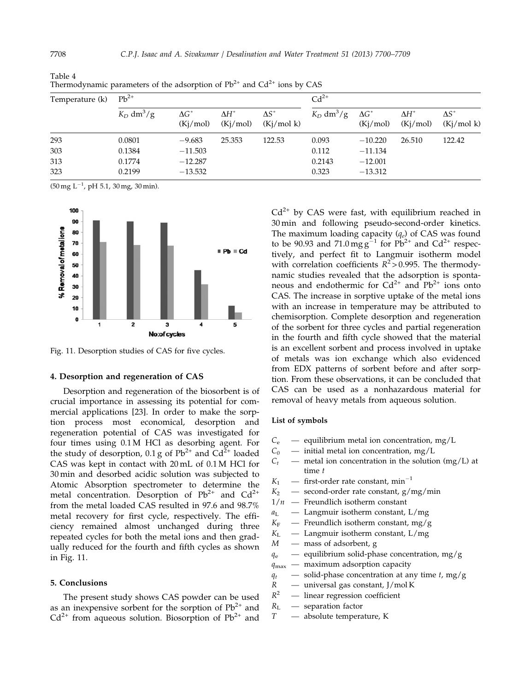| Temperature (k) | $Pb^{2+}$                |                                |                                |                                  | $Cd^{2+}$                |                                |                                |                                 |
|-----------------|--------------------------|--------------------------------|--------------------------------|----------------------------------|--------------------------|--------------------------------|--------------------------------|---------------------------------|
|                 | $K_D$ dm <sup>3</sup> /g | $\Delta G^{\circ}$<br>(Kj/mol) | $\Delta H^{\circ}$<br>(Kj/mol) | $\Delta S^{\circ}$<br>(Kj/mol k) | $K_D$ dm <sup>3</sup> /g | $\Delta G^{\circ}$<br>(Kj/mol) | $\Delta H^{\circ}$<br>(Kj/mol) | $\Delta S\degree$<br>(Kj/mol k) |
| 293             | 0.0801                   | $-9.683$                       | 25.353                         | 122.53                           | 0.093                    | $-10.220$                      | 26.510                         | 122.42                          |
| 303             | 0.1384                   | $-11.503$                      |                                |                                  | 0.112                    | $-11.134$                      |                                |                                 |
| 313             | 0.1774                   | $-12.287$                      |                                |                                  | 0.2143                   | $-12.001$                      |                                |                                 |
| 323             | 0.2199                   | $-13.532$                      |                                |                                  | 0.323                    | $-13.312$                      |                                |                                 |

Table 4 Thermodynamic parameters of the adsorption of  $Pb^{2+}$  and  $Cd^{2+}$  ions by CAS

 $(50 \,\text{mg } L^{-1}$ , pH 5.1, 30 mg, 30 min).



Fig. 11. Desorption studies of CAS for five cycles.

#### 4. Desorption and regeneration of CAS

Desorption and regeneration of the biosorbent is of crucial importance in assessing its potential for commercial applications [23]. In order to make the sorption process most economical, desorption and regeneration potential of CAS was investigated for four times using 0.1 M HCl as desorbing agent. For the study of desorption, 0.1 g of  $Pb^{2+}$  and  $Cd^{2+}$  loaded CAS was kept in contact with 20 mL of 0.1 M HCl for 30 min and desorbed acidic solution was subjected to Atomic Absorption spectrometer to determine the metal concentration. Desorption of  $Pb^{2+}$  and  $Cd^{2+}$ from the metal loaded CAS resulted in 97.6 and 98.7% metal recovery for first cycle, respectively. The efficiency remained almost unchanged during three repeated cycles for both the metal ions and then gradually reduced for the fourth and fifth cycles as shown in Fig. 11.

## 5. Conclusions

The present study shows CAS powder can be used as an inexpensive sorbent for the sorption of  $Pb^{2+}$  and  $Cd^{2+}$  from aqueous solution. Biosorption of  $Pb^{2+}$  and

 $Cd^{2+}$  by CAS were fast, with equilibrium reached in 30 min and following pseudo-second-order kinetics. The maximum loading capacity  $(q_e)$  of CAS was found to be 90.93 and 71.0 mg  $g^{-1}$  for Pb<sup>2+</sup> and Cd<sup>2+</sup> respectively, and perfect fit to Langmuir isotherm model with correlation coefficients  $R^2 > 0.995$ . The thermodynamic studies revealed that the adsorption is spontaneous and endothermic for  $Cd^{2+}$  and  $Pb^{2+}$  ions onto CAS. The increase in sorptive uptake of the metal ions with an increase in temperature may be attributed to chemisorption. Complete desorption and regeneration of the sorbent for three cycles and partial regeneration in the fourth and fifth cycle showed that the material is an excellent sorbent and process involved in uptake of metals was ion exchange which also evidenced from EDX patterns of sorbent before and after sorption. From these observations, it can be concluded that CAS can be used as a nonhazardous material for removal of heavy metals from aqueous solution.

#### List of symbols

- $C_e$  equilibrium metal ion concentration, mg/L
- $C_0$  initial metal ion concentration, mg/L
- $C_t$  metal ion concentration in the solution (mg/L) at time t
- $K_1$  first-order rate constant, min<sup>-1</sup>
- $K_2$  second-order rate constant, g/mg/min
- $1/n$  Freundlich isotherm constant
- $a_L$  Langmuir isotherm constant, L/mg
- $K_F$  Freundlich isotherm constant, mg/g
- $K_L$  Langmuir isotherm constant, L/mg
- $M$  mass of adsorbent, g
- $q_e$  equilibrium solid-phase concentration, mg/g
- $q_{\text{max}}$  maximum adsorption capacity
- $q_t$  solid-phase concentration at any time t, mg/g
- $R$  universal gas constant, J/mol K<br> $R^2$  linear regression coefficient
- linear regression coefficient
- $R_{\text{L}}$  separation factor
- T absolute temperature, K